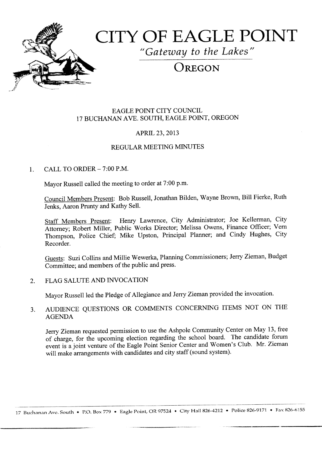

# CITY OF EAGLE POINT

"Gateway to the Lakes"

# OREGON

## EAGLE POINT CITY COUNCIL 17 BUCHANAN AVE. SOUTH, EAGLE POINT, OREGON

# APRIL 23, 2013

# REGULAR MEETING MINUTES

# $1$  CALL TO ORDER  $-7:00$  P.M.

Mayor Russell called the meeting to order at 7:00 p.m.

Council Members Present: Bob Russell, Jonathan Bilden, Wayne Brown, Bill Fierke, Ruth Jenks, Aaron Prunty and Kathy Sell.

Staff Members Present: Henry Lawrence, City Administrator; Joe Kellerman, City Attorney; Robert Miller, Public Works Director; Melissa Owens, Finance Officer; Vern Thompson, Police Chief; Mike Upston, Principal Planner; and Cindy Hughes, City Recorder.

Guests: Suzi Collins and Millie Wewerka, Planning Commissioners; Jerry Zieman, Budget Committee; and members of the public and press.

#### 2. FLAG SALUTE AND INVOCATION

Mayor Russell led the Pledge of Allegiance and Jerry Zieman provided the invocation.

# 3. AUDIENCE QUESTIONS OR COMMENTS CONCERNING ITEMS NOT ON THE AGENDA

Jerry Zieman requested permission to use the Ashpole Community Center on May 13, free of charge, for the upcoming election regarding the school board. The candidate forum event is a joint venture of the Eagle Point Senior Center and Women's Club. Mr. Zieman will make arrangements with candidates and city staff (sound system).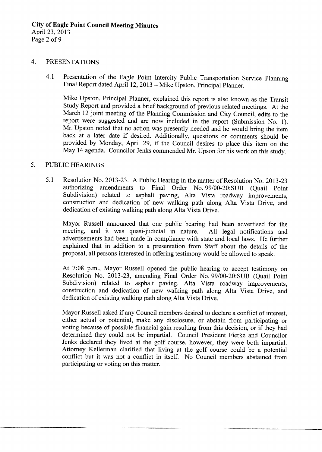#### 4. PRESENTATIONS

4.1 Presentation of the Eagle Point Intercity Public Transportation Service Planning Final Report dated April 12, 2013 - Mike Upston, Principal Planner.

Mike Upston, Principal Planner, explained this report is also known as the Transit Study Report and provided <sup>a</sup> brief background of previous related meetings. At the March <sup>12</sup> joint meeting of the Planning Commission and City Council, edits to the report were suggested and are now included in the report (Submission No. 1). Mr. Upston noted that no action was presently needed and he would bring the item back at a later date if desired. Additionally, questions or comments should be provided by Monday, April 29, if the Council desires to place this item on the May 14 agenda. Councilor Jenks commended Mr. Upson for his work on this study.

#### 5. PUBLIC HEARINGS

5.1 Resolution No. 2013-23. A Public Hearing in the matter of Resolution No. 2013-23 authorizing amendments to Final Order No. 99/00-20:SUB (Quail Point Subdivision) related to asphalt paving, Alta Vista roadway improvements, construction and dedication of new walking path along Alta Vista Drive, and dedication of existing walking path along Alta Vista Drive.

Mayor Russell announced that one public hearing had been advertised for the meeting, and it was quasi-judicial in nature. All legal notifications and meeting, and it was quasi-judicial in nature. advertisements had been made in compliance with state and local laws. He further explained that in addition to <sup>a</sup> presentation from Staff about the details of the proposal, all persons interested in offering testimony would be allowed to speak.

At 7:08 p.m., Mayor Russell opened the public hearing to accept testimony on Resolution No. 2013-23, amending Final Order No. 99/00-20:SUB (Quail Point Subdivision) related to asphalt paving, Alta Vista roadway improvements, construction and dedication of new walking path along Alta Vista Drive, and dedication of existing walking path along Alta Vista Drive.

Mayor Russell asked if any Council members desired to declare <sup>a</sup> conflict of interest, either actual or potential, make any disclosure, or abstain from participating or voting because of possible financial gain resulting from this decision, or if they had determined they could not be impartial. Council President Fierke and Councilor Jenks declared they lived at the golf course, however, they were both impartial. Attorney Kellerman clarified that living at the golf course could be a potential conflict but it was not a conflict in itself. No Council members abstained from participating or voting on this matter.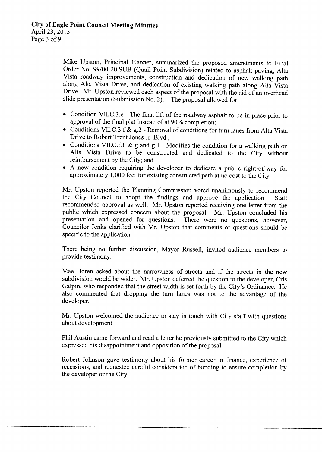Mike Upston, Principal Planner, summarized the proposed amendments to Final Order No. 99/00-20.SUB (Quail Point Subdivision) related to asphalt paving, Alta Vista roadway improvements, construction and dedication of new walking path along Alta Vista Drive, and dedication of existing walking path along Alta Vista Drive. Mr. Upston reviewed each aspect of the proposal with the aid of an overhead slide presentation (Submission No. 2). The proposal allowed for:

- Condition VII.C.3.e The final lift of the roadway asphalt to be in place prior to approval of the final plat instead of at 90% completion;
- Conditions VII.C.3.f & g.2 Removal of conditions for turn lanes from Alta Vista Drive to Robert Trent Jones Jr. Blvd.;
- Conditions VII.C.f.1 & g and g.1 Modifies the condition for a walking path on Alta Vista Drive to be constructed and dedicated to the City without reimbursement by the City; and
- A new condition requiring the developer to dedicate <sup>a</sup> public right-of-way for approximately 1, 000 feet for existing constructed path at no cost to the City

Mr. Upston reported the Planning Commission voted unanimously to recommend the City Council to adopt the findings and approve the application. Staff the City Council to adopt the findings and approve the application. recommended approval as well. Mr. Upston reported receiving one letter from the public which expressed concern about the proposal. Mr. Upston concluded his presentation and opened for questions. There were no questions, however, Councilor Jenks clarified with Mr. Upston that comments or questions should be specific to the application.

There being no further discussion, Mayor Russell, invited audience members to provide testimony.

Mae Boren asked about the narrowness of streets and if the streets in the new subdivision would be wider. Mr. Upston deferred the question to the developer, Cris Galpin, who responded that the street width is set forth by the City's Ordinance. He also commented that dropping the turn lanes was not to the advantage of the developer.

Mr. Upston welcomed the audience to stay in touch with City staff with questions about development.

Phil Austin came forward and read a letter he previously submitted to the City which expressed his disappointment and opposition of the proposal.

Robert Johnson gave testimony about his former career in finance, experience of recessions, and requested careful consideration of bonding to ensure completion by the developer or the City.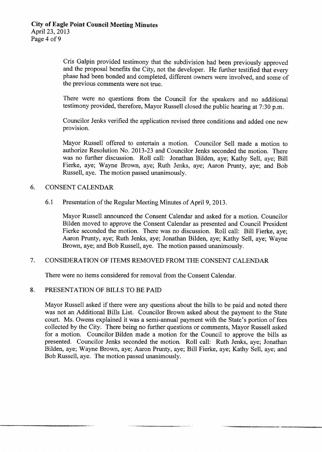Cris Galpin provided testimony that the subdivision had been previously approved and the proposal benefits the City, not the developer. He further testified that every phase had been bonded and completed, different owners were involved, and some of the previous comments were not true.

There were no questions from the Council for the speakers and no additional testimony provided, therefore, Mayor Russell closed the public hearing at 7:30 p.m.

Councilor Jenks verified the application revised three conditions and added one new provision.

Mayor Russell offered to entertain <sup>a</sup> motion. Councilor Sell made <sup>a</sup> motion to authorize Resolution No. 2013-23 and Councilor Jenks seconded the motion. There was no further discussion. Roll call: Jonathan Bilden, aye; Kathy Sell, aye; Bill Fierke, aye; Wayne Brown, aye; Ruth Jenks, aye; Aaron Prunty, aye; and Bob Russell, aye. The motion passed unanimously.

#### 6. CONSENT CALENDAR

6.1 Presentation of the Regular Meeting Minutes of April 9, 2013.

Mayor Russell announced the Consent Calendar and asked for a motion. Councilor Bilden moved to approve the Consent Calendar as presented and Council President Fierke seconded the motion. There was no discussion. Roll call: Bill Fierke, aye; Aaron Prunty, aye; Ruth Jenks, aye; Jonathan Bilden, aye; Kathy Sell, aye; Wayne Brown, aye; and Bob Russell, aye. The motion passed unanimously.

#### 7. CONSIDERATION OF ITEMS REMOVED FROM THE CONSENT CALENDAR

There were no items considered for removal from the Consent Calendar.

#### 8. PRESENTATION OF BILLS TO BE PAID

Mayor Russell asked if there were any questions about the bills to be paid and noted there was not an Additional Bills List. Councilor Brown asked about the payment to the State court. Ms. Owens explained it was a semi-annual payment with the State's portion of fees collected by the City. There being no further questions or comments, Mayor Russell asked for a motion. Councilor Bilden made a motion for the Council to approve the bills as presented. Councilor Jenks seconded the motion. Roll call: Ruth Jenks, aye; Jonathan Bilden, aye; Wayne Brown, aye; Aaron Prunty, aye; Bill Fierke, aye; Kathy Sell, aye; and Bob Russell, aye. The motion passed unanimously.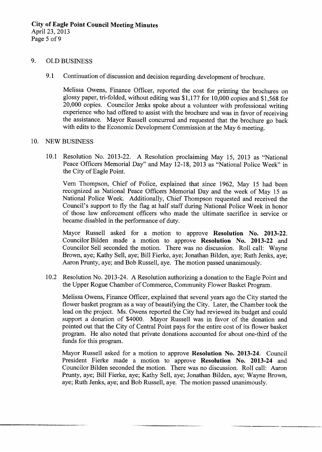#### 9. OLD BUSINESS

9.1 Continuation of discussion and decision regarding development of brochure.

Melissa Owens, Finance Officer, reported the cost for printing the brochures on glossy paper, tri-folded, without editing was  $$1,177$  for  $10,000$  copies and  $$1,568$  for 20,<sup>000</sup> copies. Councilor Jenks spoke about <sup>a</sup> volunteer with professional writing experience who had offered to assist with the brochure and was in favor of receiving the assistance. Mayor Russell concurred and requested that the brochure go back with edits to the Economic Development Commission at the May 6 meeting.

#### 10. NEW BUSINESS

10.1 Resolution No. 2013-22. A Resolution proclaiming May 15, 2013 as "National Peace Officers Memorial Day" and May 12-18, 2013 as "National Police Week" in the City of Eagle Point.

Vern Thompson, Chief of Police, explained that since 1962, May <sup>15</sup> had been recognized as National Peace Officers Memorial Day and the week of May <sup>15</sup> as National Police Week. Additionally, Chief Thompson requested and received the Council's support to fly the flag at half staff during National Police Week in honor of those law enforcement officers who made the ultimate sacrifice in service or became disabled in the performance of duty.

Mayor Russell asked for a motion to approve Resolution No. 2013-22. Councilor Bilden made a motion to approve Resolution No. 2013-22 and Councilor Sell seconded the motion. There was no discussion. Roll call: Wayne Brown, aye; Kathy Sell, aye; Bill Fierke, aye; Jonathan Bilden, aye; Ruth Jenks, aye; Aaron Prunty, aye; and Bob Russell, aye. The motion passed unanimously.

10.2 Resolution No. 2013-24. A Resolution authorizing a donation to the Eagle Point and the Upper Rogue Chamber of Commerce, Community Flower Basket Program.

Melissa Owens, Finance Officer, explained that several years ago the City started the flower basket program as <sup>a</sup> way of beautifying the City. Later, the Chamber took the lead on the project. Ms. Owens reported the City had reviewed its budget and could support <sup>a</sup> donation of \$4000. Mayor Russell was in favor of the donation and pointed out that the City of Central Point pays for the entire cost of its flower basket program. He also noted that private donations accounted for about one-third of the funds for this program.

Mayor Russell asked for a motion to approve Resolution No. 2013-24. Council President Fierke made a motion to approve Resolution No. 2013-24 and Councilor Bilden seconded the motion. There was no discussion. Roll call: Aaron Prunty, aye; Bill Fierke, aye; Kathy Sell, aye; Jonathan Bilden, aye; Wayne Brown, aye; Ruth Jenks, aye; and Bob Russell, aye. The motion passed unanimously.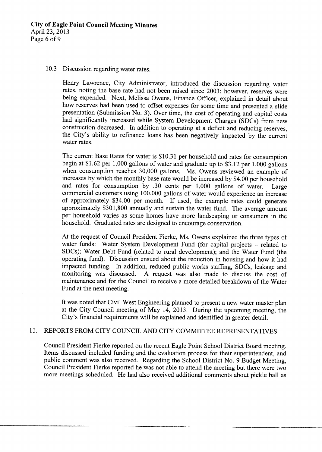#### 10.3 Discussion regarding water rates.

Henry Lawrence, City Administrator, introduced the discussion regarding water rates, noting the base rate had not been raised since 2003; however, reserves were being expended. Next, Melissa Owens, Finance Officer, explained in detail about how reserves had been used to offset expenses for some time and presented a slide presentation (Submission No. 3). Over time, the cost of operating and capital costs had significantly increased while System Development Charges (SDCs) from new construction decreased. In addition to operating at <sup>a</sup> deficit and reducing reserves, the City's ability to refinance loans has been negatively impacted by the current water rates.

The current Base Rates for water is \$10.31 per household and rates for consumption begin at \$1.62 per 1,000 gallons of water and graduate up to \$3.12 per 1,000 gallons when consumption reaches 30,000 gallons. Ms. Owens reviewed an example of increases by which the monthly base rate would be increased by \$4.00 per household and rates for consumption by .30 cents per  $1,000$  gallons of water. Large and rates for consumption by  $.30$  cents per 1,000 gallons of water. commercial customers using 100,000 gallons of water would experience an increase of approximately \$34.00 per month. If used, the example rates could generate approximately \$301,800 annually and sustain the water fund. The average amount per household varies as some homes have more landscaping or consumers in the household. Graduated rates are designed to encourage conservation.

At the request of Council President Fierke, Ms. Owens explained the three types of water funds: Water System Development Fund (for capital projects - related to SDCs); Water Debt Fund (related to rural development); and the Water Fund (the operating fund). Discussion ensued about the reduction in housing and how it had impacted funding. In addition, reduced public works staffing, SDCs, leakage and A request was also made to discuss the cost of maintenance and for the Council to receive <sup>a</sup> more detailed breakdown of the Water Fund at the next meeting.

It was noted that Civil West Engineering planned to present <sup>a</sup> new water master plan at the City Council meeting of May 14, 2013. During the upcoming meeting, the City's financial requirements will be explained and identified in greater detail.

#### 11. REPORTS FROM CITY COUNCIL AND CITY COMMITTEE REPRESENTATIVES

Council President Fierke reported on the recent Eagle Point School District Board meeting. Items discussed included funding and the evaluation process for their superintendent, and public comment was also received. Regarding the School District No. 9 Budget Meeting, Council President Fierke reported he was not able to attend the meeting but there were two more meetings scheduled. He had also received additional comments about pickle ball as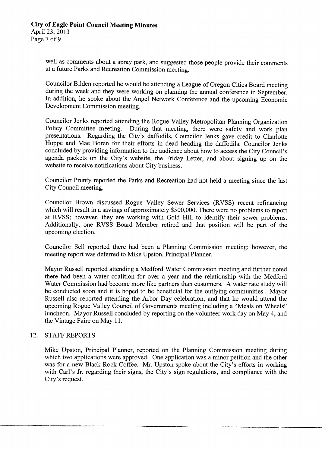well as comments about a spray park, and suggested those people provide their comments at a future Parks and Recreation Commission meeting.

Councilor Bilden reported he would be attending a League of Oregon Cities Board meeting during the week and they were working on planning the annual conference in September. In addition, he spoke about the Angel Network Conference and the upcoming Economic Development Commission meeting.

Councilor Jenks reported attending the Rogue Valley Metropolitan Planning Organization<br>Policy Committee meeting. During that meeting, there were safety and work plan During that meeting, there were safety and work plan presentations. Regarding the City's daffodils, Councilor Jenks gave credit to Charlotte Hoppe and Mae Boren for their efforts in dead heading the daffodils. Councilor Jenks concluded by providing information to the audience about how to access the City Council's agenda packets on the City's website, the Friday Letter, and about signing up on the website to receive notifications about City business.

Councilor Prunty reported the Parks and Recreation had not held a meeting since the last City Council meeting.

Councilor Brown discussed Rogue Valley Sewer Services (RVSS) recent refinancing which will result in a savings of approximately \$500,000. There were no problems to report at RVSS; however, they are working with Gold Hill to identify their sewer problems. Additionally, one RVSS Board Member retired and that position will be part of the upcoming election.

Councilor Sell reported there had been a Planning Commission meeting; however, the meeting report was deferred to Mike Upston, Principal Planner.

Mayor Russell reported attending a Medford Water Commission meeting and further noted there had been a water coalition for over a year and the relationship with the Medford Water Commission had become more like partners than customers. A water rate study will be conducted soon and it is hoped to be beneficial for the outlying communities. Mayor Russell also reported attending the Arbor Day celebration, and that he would attend the upcoming Rogue Valley Council of Governments meeting including a " Meals on Wheels" luncheon. Mayor Russell concluded by reporting on the volunteer work day on May 4, and the Vintage Faire on May 11.

### 12. STAFF REPORTS

Mike Upston, Principal Planner, reported on the Planning Commission meeting during which two applications were approved. One application was a minor petition and the other was for a new Black Rock Coffee. Mr. Upston spoke about the City's efforts in working with Carl's Jr. regarding their signs, the City's sign regulations, and compliance with the City's request.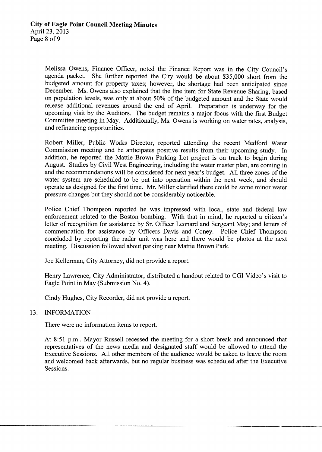Melissa Owens, Finance Officer, noted the Finance Report was in the City Council's agenda packet. She further reported the City would be about \$35,000 short from the budgeted amount for property taxes; however, the shortage had been anticipated since December. Ms. Owens also explained that the line item for State Revenue Sharing, based on population levels, was only at about 50% of the budgeted amount and the State would release additional revenues around the end of April. Preparation is underway for the upcoming visit by the Auditors. The budget remains <sup>a</sup> major focus with the first Budget Committee meeting in May. Additionally, Ms. Owens is working on water rates, analysis, and refinancing opportunities.

Robert Miller, Public Works Director, reported attending the recent Medford Water Commission meeting and he anticipates positive results from their upcoming study. In addition, he reported the Mattie Brown Parking Lot project is on track to begin during August. Studies by Civil West Engineering, including the water master plan, are coming in and the recommendations will be considered for next year's budget. All three zones of the water system are scheduled to be put into operation within the next week, and should operate as designed for the first time. Mr. Miller clarified there could be some minor water pressure changes but they should not be considerably noticeable.

Police Chief Thompson reported he was impressed with local, state and federal law enforcement related to the Boston bombing. With that in mind, he reported a citizen's letter of recognition for assistance by Sr. Officer Leonard and Sergeant May; and letters of commendation for assistance by Officers Davis and Coney. Police Chief Thompson concluded by reporting the radar unit was here and there would be photos at the next meeting. Discussion followed about parking near Mattie Brown Park.

Joe Kellerman, City Attorney, did not provide a report.

Henry Lawrence, City Administrator, distributed a handout related to CGI Video's visit to Eagle Point in May (Submission No. 4).

Cindy Hughes, City Recorder, did not provide a report.

#### 13. INFORMATION

There were no information items to report.

At 8:51 p.m., Mayor Russell recessed the meeting for a short break and announced that representatives of the news media and designated staff would be allowed to attend the Executive Sessions. All other members of the audience would be asked to leave the room and welcomed back afterwards, but no regular business was scheduled after the Executive Sessions.